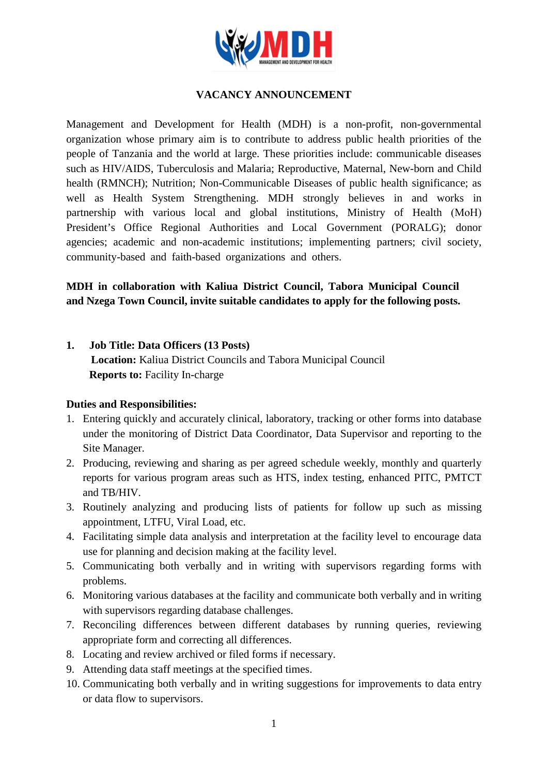

## **VACANCY ANNOUNCEMENT**

Management and Development for Health (MDH) is a non-profit, non-governmental organization whose primary aim is to contribute to address public health priorities of the people of Tanzania and the world at large. These priorities include: communicable diseases such as HIV/AIDS, Tuberculosis and Malaria; Reproductive, Maternal, New-born and Child health (RMNCH); Nutrition; Non-Communicable Diseases of public health significance; as well as Health System Strengthening. MDH strongly believes in and works in partnership with various local and global institutions, Ministry of Health (MoH) President's Office Regional Authorities and Local Government (PORALG); donor agencies; academic and non-academic institutions; implementing partners; civil society, community-based and faith-based organizations and others.

# **MDH in collaboration with Kaliua District Council, Tabora Municipal Council and Nzega Town Council, invite suitable candidates to apply for the following posts.**

#### **1. Job Title: Data Officers (13 Posts)**

**Location:** Kaliua District Councils and Tabora Municipal Council **Reports to:** Facility In-charge

#### **Duties and Responsibilities:**

- 1. Entering quickly and accurately clinical, laboratory, tracking or other forms into database under the monitoring of District Data Coordinator, Data Supervisor and reporting to the Site Manager.
- 2. Producing, reviewing and sharing as per agreed schedule weekly, monthly and quarterly reports for various program areas such as HTS, index testing, enhanced PITC, PMTCT and TB/HIV.
- 3. Routinely analyzing and producing lists of patients for follow up such as missing appointment, LTFU, Viral Load, etc.
- 4. Facilitating simple data analysis and interpretation at the facility level to encourage data use for planning and decision making at the facility level.
- 5. Communicating both verbally and in writing with supervisors regarding forms with problems.
- 6. Monitoring various databases at the facility and communicate both verbally and in writing with supervisors regarding database challenges.
- 7. Reconciling differences between different databases by running queries, reviewing appropriate form and correcting all differences.
- 8. Locating and review archived or filed forms if necessary.
- 9. Attending data staff meetings at the specified times.
- 10. Communicating both verbally and in writing suggestions for improvements to data entry or data flow to supervisors.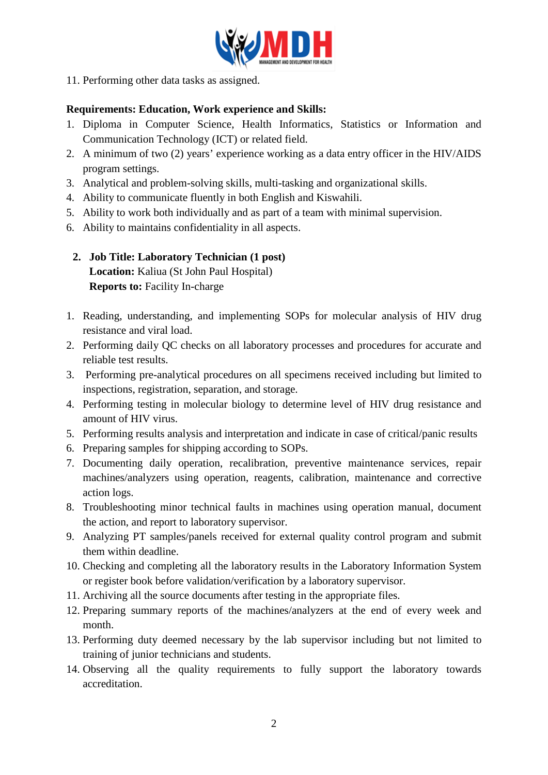

11. Performing other data tasks as assigned.

## **Requirements: Education, Work experience and Skills:**

- 1. Diploma in Computer Science, Health Informatics, Statistics or Information and Communication Technology (ICT) or related field.
- 2. A minimum of two (2) years' experience working as a data entry officer in the HIV/AIDS program settings.
- 3. Analytical and problem-solving skills, multi-tasking and organizational skills.
- 4. Ability to communicate fluently in both English and Kiswahili.
- 5. Ability to work both individually and as part of a team with minimal supervision.
- 6. Ability to maintains confidentiality in all aspects.
- **2. Job Title: Laboratory Technician (1 post) Location:** Kaliua (St John Paul Hospital) **Reports to:** Facility In-charge
- 1. Reading, understanding, and implementing SOPs for molecular analysis of HIV drug resistance and viral load.
- 2. Performing daily QC checks on all laboratory processes and procedures for accurate and reliable test results.
- 3. Performing pre-analytical procedures on all specimens received including but limited to inspections, registration, separation, and storage.
- 4. Performing testing in molecular biology to determine level of HIV drug resistance and amount of HIV virus.
- 5. Performing results analysis and interpretation and indicate in case of critical/panic results
- 6. Preparing samples for shipping according to SOPs.
- 7. Documenting daily operation, recalibration, preventive maintenance services, repair machines/analyzers using operation, reagents, calibration, maintenance and corrective action logs.
- 8. Troubleshooting minor technical faults in machines using operation manual, document the action, and report to laboratory supervisor.
- 9. Analyzing PT samples/panels received for external quality control program and submit them within deadline.
- 10. Checking and completing all the laboratory results in the Laboratory Information System or register book before validation/verification by a laboratory supervisor.
- 11. Archiving all the source documents after testing in the appropriate files.
- 12. Preparing summary reports of the machines/analyzers at the end of every week and month.
- 13. Performing duty deemed necessary by the lab supervisor including but not limited to training of junior technicians and students.
- 14. Observing all the quality requirements to fully support the laboratory towards accreditation.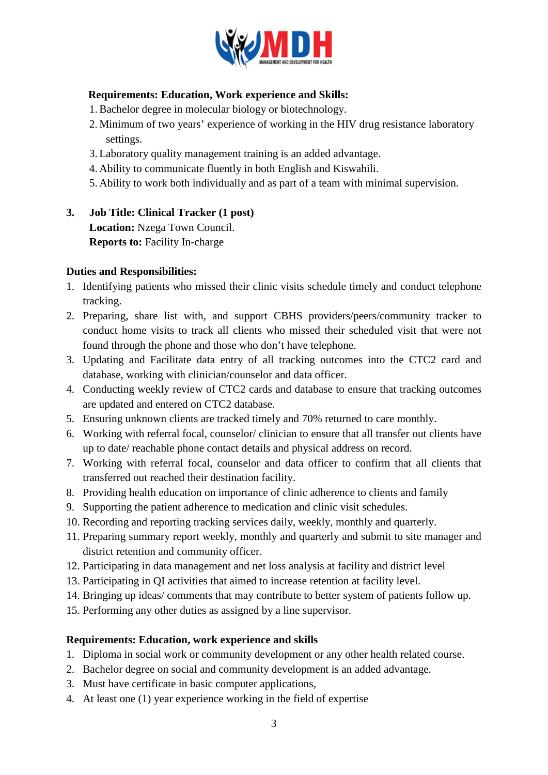

## **Requirements: Education, Work experience and Skills:**

- 1.Bachelor degree in molecular biology or biotechnology.
- 2. Minimum of two years' experience of working in the HIV drug resistance laboratory settings.
- 3. Laboratory quality management training is an added advantage.
- 4. Ability to communicate fluently in both English and Kiswahili.
- 5. Ability to work both individually and as part of a team with minimal supervision.
- **3. Job Title: Clinical Tracker (1 post) Location:** Nzega Town Council. **Reports to:** Facility In-charge

## **Duties and Responsibilities:**

- 1. Identifying patients who missed their clinic visits schedule timely and conduct telephone tracking.
- 2. Preparing, share list with, and support CBHS providers/peers/community tracker to conduct home visits to track all clients who missed their scheduled visit that were not found through the phone and those who don't have telephone.
- 3. Updating and Facilitate data entry of all tracking outcomes into the CTC2 card and database, working with clinician/counselor and data officer.
- 4. Conducting weekly review of CTC2 cards and database to ensure that tracking outcomes are updated and entered on CTC2 database.
- 5. Ensuring unknown clients are tracked timely and 70% returned to care monthly.
- 6. Working with referral focal, counselor/ clinician to ensure that all transfer out clients have up to date/ reachable phone contact details and physical address on record.
- 7. Working with referral focal, counselor and data officer to confirm that all clients that transferred out reached their destination facility.
- 8. Providing health education on importance of clinic adherence to clients and family
- 9. Supporting the patient adherence to medication and clinic visit schedules.
- 10. Recording and reporting tracking services daily, weekly, monthly and quarterly.
- 11. Preparing summary report weekly, monthly and quarterly and submit to site manager and district retention and community officer.
- 12. Participating in data management and net loss analysis at facility and district level
- 13. Participating in QI activities that aimed to increase retention at facility level.
- 14. Bringing up ideas/ comments that may contribute to better system of patients follow up.
- 15. Performing any other duties as assigned by a line supervisor.

#### **Requirements: Education, work experience and skills**

- 1. Diploma in social work or community development or any other health related course.
- 2. Bachelor degree on social and community development is an added advantage.
- 3. Must have certificate in basic computer applications,
- 4. At least one (1) year experience working in the field of expertise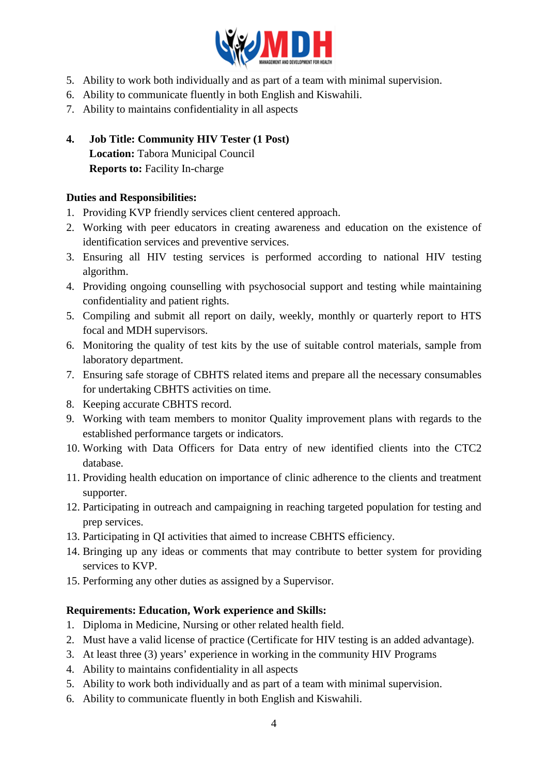

- 5. Ability to work both individually and as part of a team with minimal supervision.
- 6. Ability to communicate fluently in both English and Kiswahili.
- 7. Ability to maintains confidentiality in all aspects
- **4. Job Title: Community HIV Tester (1 Post) Location:** Tabora Municipal Council **Reports to:** Facility In-charge

## **Duties and Responsibilities:**

- 1. Providing KVP friendly services client centered approach.
- 2. Working with peer educators in creating awareness and education on the existence of identification services and preventive services.
- 3. Ensuring all HIV testing services is performed according to national HIV testing algorithm.
- 4. Providing ongoing counselling with psychosocial support and testing while maintaining confidentiality and patient rights.
- 5. Compiling and submit all report on daily, weekly, monthly or quarterly report to HTS focal and MDH supervisors.
- 6. Monitoring the quality of test kits by the use of suitable control materials, sample from laboratory department.
- 7. Ensuring safe storage of CBHTS related items and prepare all the necessary consumables for undertaking CBHTS activities on time.
- 8. Keeping accurate CBHTS record.
- 9. Working with team members to monitor Quality improvement plans with regards to the established performance targets or indicators.
- 10. Working with Data Officers for Data entry of new identified clients into the CTC2 database.
- 11. Providing health education on importance of clinic adherence to the clients and treatment supporter.
- 12. Participating in outreach and campaigning in reaching targeted population for testing and prep services.
- 13. Participating in QI activities that aimed to increase CBHTS efficiency.
- 14. Bringing up any ideas or comments that may contribute to better system for providing services to KVP.
- 15. Performing any other duties as assigned by a Supervisor.

#### **Requirements: Education, Work experience and Skills:**

- 1. Diploma in Medicine, Nursing or other related health field.
- 2. Must have a valid license of practice (Certificate for HIV testing is an added advantage).
- 3. At least three (3) years' experience in working in the community HIV Programs
- 4. Ability to maintains confidentiality in all aspects
- 5. Ability to work both individually and as part of a team with minimal supervision.
- 6. Ability to communicate fluently in both English and Kiswahili.